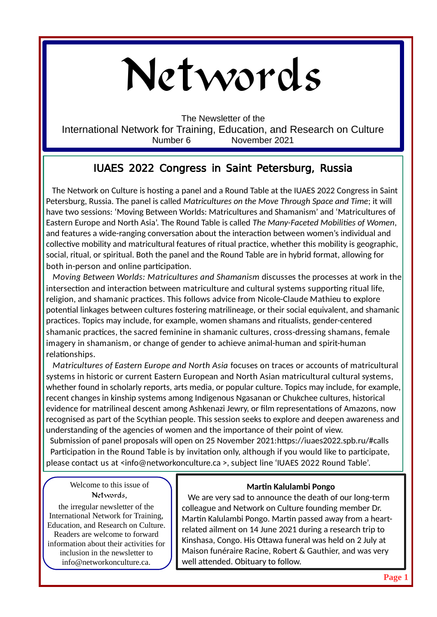# Networds

The Newsletter of the International Network for Training, Education, and Research on Culture Number 6 November 2021

## IUAES 2022 Congress in Saint Petersburg, Russia

 The Network on Culture is hosting a panel and a Round Table at the IUAES 2022 Congress in Saint Petersburg, Russia. The panel is called *Matricultures on the Move Through Space and Time*; it will have two sessions: 'Moving Between Worlds: Matricultures and Shamanism' and 'Matricultures of Eastern Europe and North Asia'. The Round Table is called *The Many-Faceted Mobilities of Women*, and features a wide-ranging conversation about the interaction between women's individual and collective mobility and matricultural features of ritual practice, whether this mobility is geographic, social, ritual, or spiritual. Both the panel and the Round Table are in hybrid format, allowing for both in-person and online participation.

 *Moving Between Worlds: Matricultures and Shamanism* discusses the processes at work in the intersection and interaction between matriculture and cultural systems supporting ritual life, religion, and shamanic practices. This follows advice from Nicole-Claude Mathieu to explore potential linkages between cultures fostering matrilineage, or their social equivalent, and shamanic practices. Topics may include, for example, women shamans and ritualists, gender-centered shamanic practices, the sacred feminine in shamanic cultures, cross-dressing shamans, female imagery in shamanism, or change of gender to achieve animal-human and spirit-human relationships.

 *Matricultures of Eastern Europe and North Asia* focuses on traces or accounts of matricultural systems in historic or current Eastern European and North Asian matricultural cultural systems, whether found in scholarly reports, arts media, or popular culture. Topics may include, for example, recent changes in kinship systems among Indigenous Ngasanan or Chukchee cultures, historical evidence for matrilineal descent among Ashkenazi Jewry, or film representations of Amazons, now recognised as part of the Scythian people. This session seeks to explore and deepen awareness and understanding of the agencies of women and the importance of their point of view.

 Submission of panel proposals will open on 25 November 2021:<https://iuaes2022.spb.ru/#calls> Participation in the Round Table is by invitation only, although if you would like to participate, please contact us at <[info@networkonculture.ca](mailto:info@networkonculture.ca) >, subject line 'IUAES 2022 Round Table'.

Welcome to this issue of Networds,

the irregular newsletter of the International Network for Training, Education, and Research on Culture. Readers are welcome to forward information about their activities for inclusion in the newsletter to info@networkonculture.ca.

## **Martin Kalulambi Pongo**

 We are very sad to announce the death of our long-term colleague and Network on Culture founding member Dr. Martin Kalulambi Pongo. Martin passed away from a heart related ailment on 14 June 2021 during a research trip to Kinshasa, Congo. His Ottawa funeral was held on 2 July at Maison funéraire Racine, Robert & Gauthier, and was very well attended. Obituary to follow.